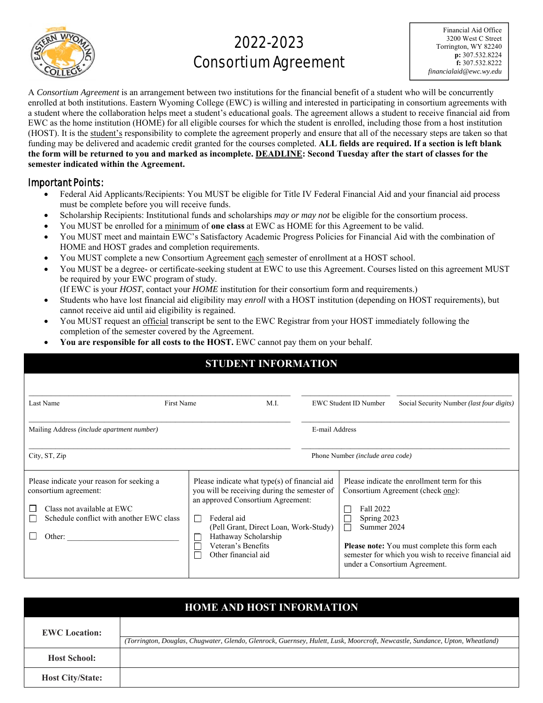

# 2022-2023 Consortium Agreement

Financial Aid Office 3200 West C Street Torrington, WY 82240 **p:** 307.532.8224 **f:** 307.532.8222 *financialaid@ewc.wy.edu* 

A *Consortium Agreement* is an arrangement between two institutions for the financial benefit of a student who will be concurrently enrolled at both institutions. Eastern Wyoming College (EWC) is willing and interested in participating in consortium agreements with a student where the collaboration helps meet a student's educational goals. The agreement allows a student to receive financial aid from EWC as the home institution (HOME) for all eligible courses for which the student is enrolled, including those from a host institution (HOST). It is the student's responsibility to complete the agreement properly and ensure that all of the necessary steps are taken so that funding may be delivered and academic credit granted for the courses completed. **ALL fields are required. If a section is left blank the form will be returned to you and marked as incomplete. DEADLINE: Second Tuesday after the start of classes for the semester indicated within the Agreement.** 

#### Important Points:

- Federal Aid Applicants/Recipients: You MUST be eligible for Title IV Federal Financial Aid and your financial aid process must be complete before you will receive funds.
- Scholarship Recipients: Institutional funds and scholarships *may or may not* be eligible for the consortium process.
- You MUST be enrolled for a minimum of **one class** at EWC as HOME for this Agreement to be valid.
- You MUST meet and maintain EWC's Satisfactory Academic Progress Policies for Financial Aid with the combination of HOME and HOST grades and completion requirements.
- You MUST complete a new Consortium Agreement each semester of enrollment at a HOST school.
- You MUST be a degree- or certificate-seeking student at EWC to use this Agreement. Courses listed on this agreement MUST be required by your EWC program of study.
- (If EWC is your *HOST*, contact your *HOME* institution for their consortium form and requirements.)
- Students who have lost financial aid eligibility may *enroll* with a HOST institution (depending on HOST requirements), but cannot receive aid until aid eligibility is regained.
- You MUST request an official transcript be sent to the EWC Registrar from your HOST immediately following the completion of the semester covered by the Agreement.
- **You are responsible for all costs to the HOST.** EWC cannot pay them on your behalf.

| <b>STUDENT INFORMATION</b>                                                                                                                             |                                                                                                                                                                                                                                                                 |                              |                                                                                                                                                                                                                                                                               |                                           |  |  |
|--------------------------------------------------------------------------------------------------------------------------------------------------------|-----------------------------------------------------------------------------------------------------------------------------------------------------------------------------------------------------------------------------------------------------------------|------------------------------|-------------------------------------------------------------------------------------------------------------------------------------------------------------------------------------------------------------------------------------------------------------------------------|-------------------------------------------|--|--|
| Last Name<br>First Name<br>M.I.                                                                                                                        |                                                                                                                                                                                                                                                                 | <b>EWC Student ID Number</b> |                                                                                                                                                                                                                                                                               | Social Security Number (last four digits) |  |  |
| Mailing Address (include apartment number)                                                                                                             |                                                                                                                                                                                                                                                                 | E-mail Address               |                                                                                                                                                                                                                                                                               |                                           |  |  |
| City, ST, Zip                                                                                                                                          |                                                                                                                                                                                                                                                                 |                              | Phone Number (include area code)                                                                                                                                                                                                                                              |                                           |  |  |
| Please indicate your reason for seeking a<br>consortium agreement:<br>Class not available at EWC<br>Schedule conflict with another EWC class<br>Other: | Please indicate what type(s) of financial aid<br>you will be receiving during the semester of<br>an approved Consortium Agreement:<br>Federal aid<br>(Pell Grant, Direct Loan, Work-Study)<br>Hathaway Scholarship<br>Veteran's Benefits<br>Other financial aid |                              | Please indicate the enrollment term for this<br>Consortium Agreement (check one):<br>Fall 2022<br>Spring 2023<br>Summer 2024<br><b>Please note:</b> You must complete this form each<br>semester for which you wish to receive financial aid<br>under a Consortium Agreement. |                                           |  |  |

| <b>HOME AND HOST INFORMATION</b> |                                                                                                                              |  |  |  |  |  |
|----------------------------------|------------------------------------------------------------------------------------------------------------------------------|--|--|--|--|--|
| <b>EWC</b> Location:             |                                                                                                                              |  |  |  |  |  |
|                                  | (Torrington, Douglas, Chugwater, Glendo, Glenrock, Guernsey, Hulett, Lusk, Moorcroft, Newcastle, Sundance, Upton, Wheatland) |  |  |  |  |  |
| <b>Host School:</b>              |                                                                                                                              |  |  |  |  |  |
| <b>Host City/State:</b>          |                                                                                                                              |  |  |  |  |  |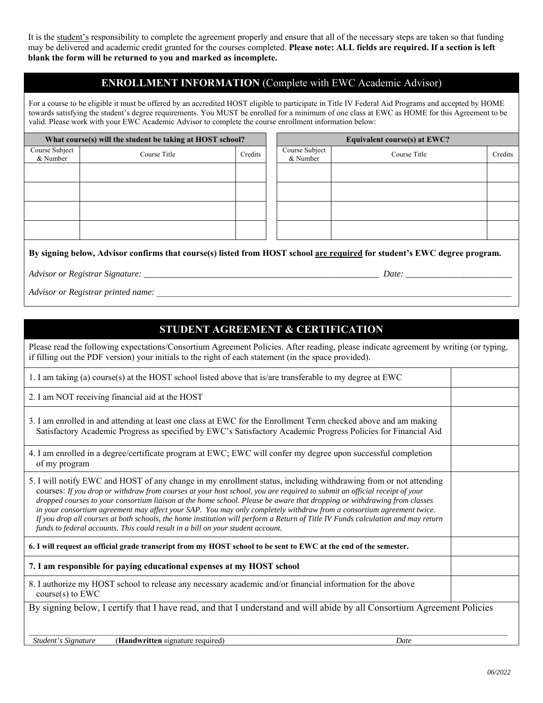It is the student's responsibility to complete the agreement properly and ensure that all of the necessary steps are taken so that funding may be delivered and academic credit granted for the courses completed. **Please note: ALL fields are required. If a section is left blank the form will be returned to you and marked as incomplete.** 

#### **ENROLLMENT INFORMATION** (Complete with EWC Academic Advisor)

For a course to be eligible it must be offered by an accredited HOST eligible to participate in Title IV Federal Aid Programs and accepted by HOME towards satisfying the student's degree requirements. You MUST be enrolled for a minimum of one class at EWC as HOME for this Agreement to be valid. Please work with your EWC Academic Advisor to complete the course enrollment information below:

| What course(s) will the student be taking at HOST school? |              |         | Equivalent course(s) at EWC? |              |         |
|-----------------------------------------------------------|--------------|---------|------------------------------|--------------|---------|
| Course Subject<br>& Number                                | Course Title | Credits | Course Subject<br>& Number   | Course Title | Credits |
|                                                           |              |         |                              |              |         |
|                                                           |              |         |                              |              |         |
|                                                           |              |         |                              |              |         |
|                                                           |              |         |                              |              |         |
|                                                           |              |         |                              |              |         |

**By signing below, Advisor confirms that course(s) listed from HOST school are required for student's EWC degree program.** 

*Advisor or Registrar Signature: \_\_\_\_\_\_\_\_\_\_\_\_\_\_\_\_\_\_\_\_\_\_\_\_\_\_\_\_\_\_\_\_\_\_\_\_\_\_\_\_\_\_\_\_\_\_\_\_\_\_\_\_\_ Date: \_\_\_\_\_\_\_\_\_\_\_\_\_\_\_\_\_\_\_\_\_\_\_\_*

*Advisor or Registrar printed name:*  $\overline{a}$ 

### **STUDENT AGREEMENT & CERTIFICATION**

Please read the following expectations/Consortium Agreement Policies. After reading, please indicate agreement by writing (or typing, if filling out the PDF version) your initials to the right of each statement (in the space provided).

1. I am taking (a) course(s) at the HOST school listed above that is/are transferable to my degree at EWC

2. I am NOT receiving financial aid at the HOST

3. I am enrolled in and attending at least one class at EWC for the Enrollment Term checked above and am making Satisfactory Academic Progress as specified by EWC's Satisfactory Academic Progress Policies for Financial Aid

4. I am enrolled in a degree/certificate program at EWC; EWC will confer my degree upon successful completion of my program

5. I will notify EWC and HOST of any change in my enrollment status, including withdrawing from or not attending courses: *If you drop or withdraw from courses at your host school, you are required to submit an official receipt of your dropped courses to your consortium liaison at the home school. Please be aware that dropping or withdrawing from classes in your consortium agreement may affect your SAP. You may only completely withdraw from a consortium agreement twice. If you drop all courses at both schools, the home institution will perform a Return of Title IV Funds calculation and may return funds to federal accounts. This could result in a bill on your student account.*

**6. I will request an official grade transcript from my HOST school to be sent to EWC at the end of the semester.** 

**7. I am responsible for paying educational expenses at my HOST school** 

8. I authorize my HOST school to release any necessary academic and/or financial information for the above course(s) to EWC

By signing below, I certify that I have read, and that I understand and will abide by all Consortium Agreement Policies

 $\_$  , and the state of the state of the state of the state of the state of the state of the state of the state of the state of the state of the state of the state of the state of the state of the state of the state of the  *Student's Signature* (**Handwritten** signature required) *Date*